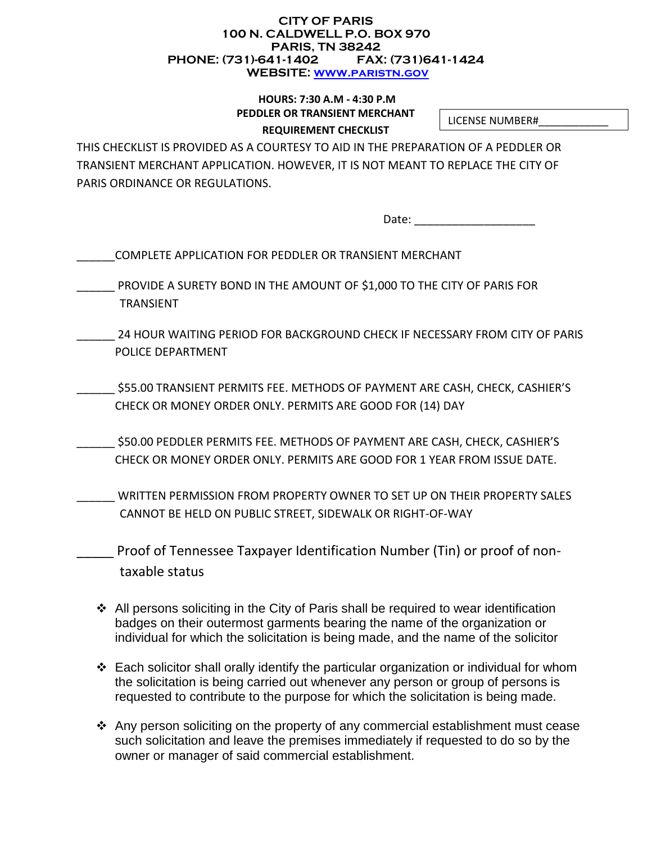#### **CITY OF PARIS 100 N. CALDWELL P.O. BOX 970 PARIS, TN 38242 PHONE: (731)-641-1402 FAX: (731)641-1424 WEBSITE: [www.paristn.gov](http://www.paristn.gov/)**

### **HOURS: 7:30 A.M - 4:30 P.M PEDDLER OR TRANSIENT MERCHANT REQUIREMENT CHECKLIST**

LICENSE NUMBER#\_\_\_\_\_\_\_\_\_\_\_\_

THIS CHECKLIST IS PROVIDED AS A COURTESY TO AID IN THE PREPARATION OF A PEDDLER OR TRANSIENT MERCHANT APPLICATION. HOWEVER, IT IS NOT MEANT TO REPLACE THE CITY OF PARIS ORDINANCE OR REGULATIONS.

Date: \_\_\_\_\_\_\_\_\_\_\_\_\_\_\_\_\_\_\_

- PROVIDE A SURETY BOND IN THE AMOUNT OF \$1,000 TO THE CITY OF PARIS FOR TRANSIENT
- \_\_\_\_\_\_ 24 HOUR WAITING PERIOD FOR BACKGROUND CHECK IF NECESSARY FROM CITY OF PARIS POLICE DEPARTMENT
- \_\_\_\_\_\_ \$55.00 TRANSIENT PERMITS FEE. METHODS OF PAYMENT ARE CASH, CHECK, CASHIER'S CHECK OR MONEY ORDER ONLY. PERMITS ARE GOOD FOR (14) DAY
- \_\_\_\_\_\_ \$50.00 PEDDLER PERMITS FEE. METHODS OF PAYMENT ARE CASH, CHECK, CASHIER'S CHECK OR MONEY ORDER ONLY. PERMITS ARE GOOD FOR 1 YEAR FROM ISSUE DATE.
- WRITTEN PERMISSION FROM PROPERTY OWNER TO SET UP ON THEIR PROPERTY SALES CANNOT BE HELD ON PUBLIC STREET, SIDEWALK OR RIGHT-OF-WAY
	- \_\_\_\_\_ Proof of Tennessee Taxpayer Identification Number (Tin) or proof of nontaxable status
	- All persons soliciting in the City of Paris shall be required to wear identification badges on their outermost garments bearing the name of the organization or individual for which the solicitation is being made, and the name of the solicitor
	- Each solicitor shall orally identify the particular organization or individual for whom the solicitation is being carried out whenever any person or group of persons is requested to contribute to the purpose for which the solicitation is being made.
	- Any person soliciting on the property of any commercial establishment must cease such solicitation and leave the premises immediately if requested to do so by the owner or manager of said commercial establishment.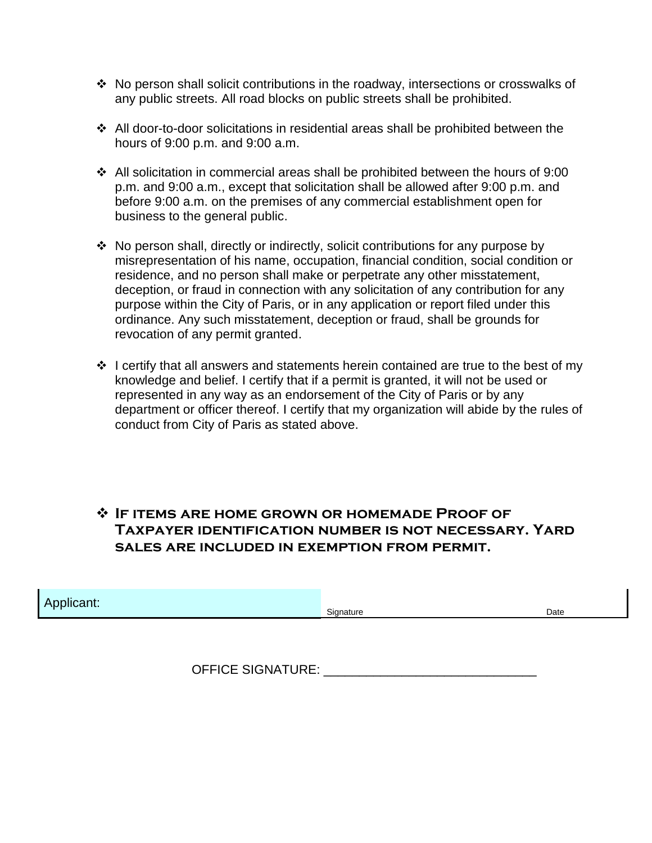- \* No person shall solicit contributions in the roadway, intersections or crosswalks of any public streets. All road blocks on public streets shall be prohibited.
- All door-to-door solicitations in residential areas shall be prohibited between the hours of 9:00 p.m. and 9:00 a.m.
- All solicitation in commercial areas shall be prohibited between the hours of 9:00 p.m. and 9:00 a.m., except that solicitation shall be allowed after 9:00 p.m. and before 9:00 a.m. on the premises of any commercial establishment open for business to the general public.
- No person shall, directly or indirectly, solicit contributions for any purpose by misrepresentation of his name, occupation, financial condition, social condition or residence, and no person shall make or perpetrate any other misstatement, deception, or fraud in connection with any solicitation of any contribution for any purpose within the City of Paris, or in any application or report filed under this ordinance. Any such misstatement, deception or fraud, shall be grounds for revocation of any permit granted.
- $\cdot$  I certify that all answers and statements herein contained are true to the best of my knowledge and belief. I certify that if a permit is granted, it will not be used or represented in any way as an endorsement of the City of Paris or by any department or officer thereof. I certify that my organization will abide by the rules of conduct from City of Paris as stated above.

## **If items are home grown or homemade Proof of Taxpayer identification number is not necessary. Yard sales are included in exemption from permit.**

| . .<br><b><i>COMMERCIAL</i></b><br>plicant.<br>Signature | Date |  |
|----------------------------------------------------------|------|--|
|----------------------------------------------------------|------|--|

OFFICE SIGNATURE: **WE SEE ALL AND THE SEE ALL AND THE SIGNATURE:**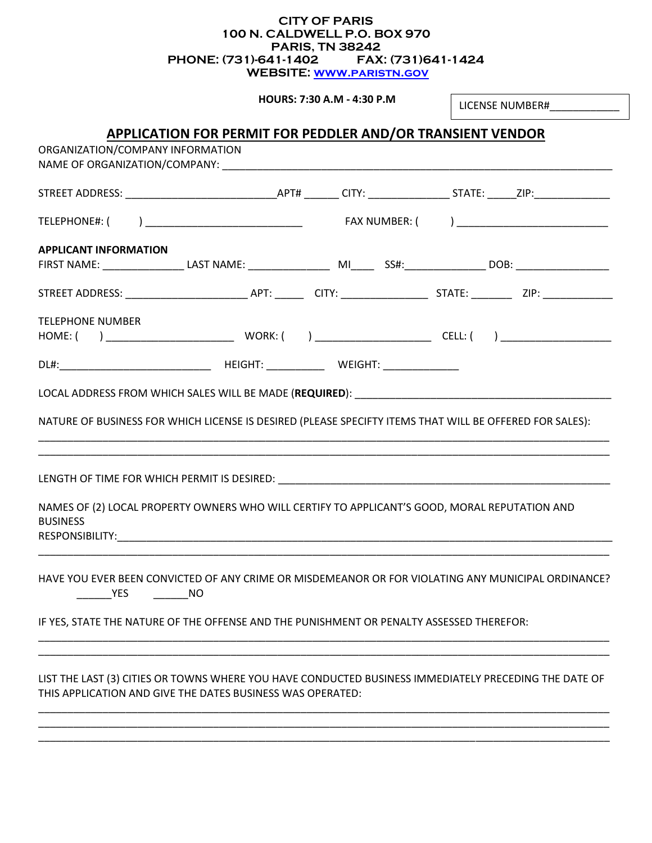#### **CITY OF PARIS 100 N. CALDWELL P.O. BOX 970 PARIS, TN 38242 PHONE: (731)-641-1402 FAX: (731)641-1424 WEBSITE: [www.paristn.gov](http://www.paristn.gov/)**

**HOURS: 7:30 A.M - 4:30 P.M** 

LICENSE NUMBER#\_\_\_\_\_\_\_\_\_\_\_\_

#### **APPLICATION FOR PERMIT FOR PEDDLER AND/OR TRANSIENT VENDOR** ORGANIZATION/COMPANY INFORMATION

| <b>URGANIZATION/COMPANY INFORMATION</b><br>NAME OF ORGANIZATION/COMPANY: NAME OF ORGANIZATION OF A SALE OF STATE OF STATE OF STATE OF STATE OF STATE OF STATE OF STATE OF STATE OF STATE OF STATE OF STATE OF STATE OF STATE OF STATE OF STATE OF STATE OF STATE OF STATE |  |  |
|---------------------------------------------------------------------------------------------------------------------------------------------------------------------------------------------------------------------------------------------------------------------------|--|--|
|                                                                                                                                                                                                                                                                           |  |  |
|                                                                                                                                                                                                                                                                           |  |  |
| <b>APPLICANT INFORMATION</b>                                                                                                                                                                                                                                              |  |  |
|                                                                                                                                                                                                                                                                           |  |  |
| <b>TELEPHONE NUMBER</b>                                                                                                                                                                                                                                                   |  |  |
|                                                                                                                                                                                                                                                                           |  |  |
| NATURE OF BUSINESS FOR WHICH LICENSE IS DESIRED (PLEASE SPECIFTY ITEMS THAT WILL BE OFFERED FOR SALES):<br>NAMES OF (2) LOCAL PROPERTY OWNERS WHO WILL CERTIFY TO APPLICANT'S GOOD, MORAL REPUTATION AND<br><b>BUSINESS</b>                                               |  |  |
| HAVE YOU EVER BEEN CONVICTED OF ANY CRIME OR MISDEMEANOR OR FOR VIOLATING ANY MUNICIPAL ORDINANCE?<br><b>EXAMPLE</b><br>IF YES, STATE THE NATURE OF THE OFFENSE AND THE PUNISHMENT OR PENALTY ASSESSED THEREFOR:                                                          |  |  |
| LIST THE LAST (3) CITIES OR TOWNS WHERE YOU HAVE CONDUCTED BUSINESS IMMEDIATELY PRECEDING THE DATE OF<br>THIS APPLICATION AND GIVE THE DATES BUSINESS WAS OPERATED:                                                                                                       |  |  |

\_\_\_\_\_\_\_\_\_\_\_\_\_\_\_\_\_\_\_\_\_\_\_\_\_\_\_\_\_\_\_\_\_\_\_\_\_\_\_\_\_\_\_\_\_\_\_\_\_\_\_\_\_\_\_\_\_\_\_\_\_\_\_\_\_\_\_\_\_\_\_\_\_\_\_\_\_\_\_\_\_\_\_\_\_\_\_\_\_\_\_\_\_\_\_\_\_\_